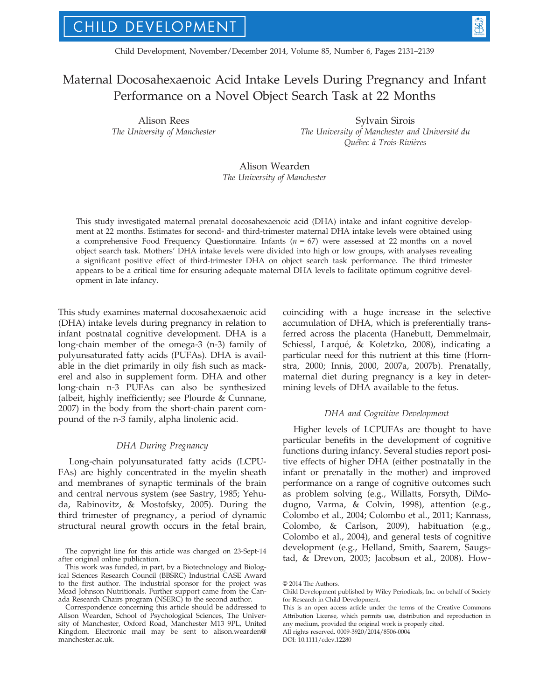Child Development, November/December 2014, Volume 85, Number 6, Pages 2131–2139

# Maternal Docosahexaenoic Acid Intake Levels During Pregnancy and Infant Performance on a Novel Object Search Task at 22 Months

Alison Rees The University of Manchester

Sylvain Sirois The University of Manchester and Université du Québec à Trois-Rivières

Alison Wearden The University of Manchester

This study investigated maternal prenatal docosahexaenoic acid (DHA) intake and infant cognitive development at 22 months. Estimates for second- and third-trimester maternal DHA intake levels were obtained using a comprehensive Food Frequency Questionnaire. Infants ( $n = 67$ ) were assessed at 22 months on a novel object search task. Mothers' DHA intake levels were divided into high or low groups, with analyses revealing a significant positive effect of third-trimester DHA on object search task performance. The third trimester appears to be a critical time for ensuring adequate maternal DHA levels to facilitate optimum cognitive development in late infancy.

This study examines maternal docosahexaenoic acid (DHA) intake levels during pregnancy in relation to infant postnatal cognitive development. DHA is a long-chain member of the omega-3 (n-3) family of polyunsaturated fatty acids (PUFAs). DHA is available in the diet primarily in oily fish such as mackerel and also in supplement form. DHA and other long-chain n-3 PUFAs can also be synthesized (albeit, highly inefficiently; see Plourde & Cunnane, 2007) in the body from the short-chain parent compound of the n-3 family, alpha linolenic acid.

#### DHA During Pregnancy

Long-chain polyunsaturated fatty acids (LCPU-FAs) are highly concentrated in the myelin sheath and membranes of synaptic terminals of the brain and central nervous system (see Sastry, 1985; Yehuda, Rabinovitz, & Mostofsky, 2005). During the third trimester of pregnancy, a period of dynamic structural neural growth occurs in the fetal brain, coinciding with a huge increase in the selective accumulation of DHA, which is preferentially transferred across the placenta (Hanebutt, Demmelmair, Schiessl, Larqué, & Koletzko, 2008), indicating a particular need for this nutrient at this time (Hornstra, 2000; Innis, 2000, 2007a, 2007b). Prenatally, maternal diet during pregnancy is a key in determining levels of DHA available to the fetus.

# DHA and Cognitive Development

Higher levels of LCPUFAs are thought to have particular benefits in the development of cognitive functions during infancy. Several studies report positive effects of higher DHA (either postnatally in the infant or prenatally in the mother) and improved performance on a range of cognitive outcomes such as problem solving (e.g., Willatts, Forsyth, DiModugno, Varma, & Colvin, 1998), attention (e.g., Colombo et al., 2004; Colombo et al., 2011; Kannass, Colombo, & Carlson, 2009), habituation (e.g., Colombo et al., 2004), and general tests of cognitive development (e.g., Helland, Smith, Saarem, Saugs-The copyright line for this article was changed on 23-Sept-14 development (e.g., Henand, Smun, Saarem, Saugs-<br>ter original online publication.<br>ter original online publication.

after original online publication.

This work was funded, in part, by a Biotechnology and Biological Sciences Research Council (BBSRC) Industrial CASE Award to the first author. The industrial sponsor for the project was Mead Johnson Nutritionals. Further support came from the Canada Research Chairs program (NSERC) to the second author.

Correspondence concerning this article should be addressed to Alison Wearden, School of Psychological Sciences, The University of Manchester, Oxford Road, Manchester M13 9PL, United Kingdom. Electronic mail may be sent to alison.wearden@ manchester.ac.uk.

<sup>©</sup> 2014 The Authors.

Child Development published by Wiley Periodicals, Inc. on behalf of Society for Research in Child Development.

This is an open access article under the terms of the Creative Commons Attribution License, which permits use, distribution and reproduction in any medium, provided the original work is properly cited.

All rights reserved. 0009-3920/2014/8506-0004 DOI: 10.1111/cdev.12280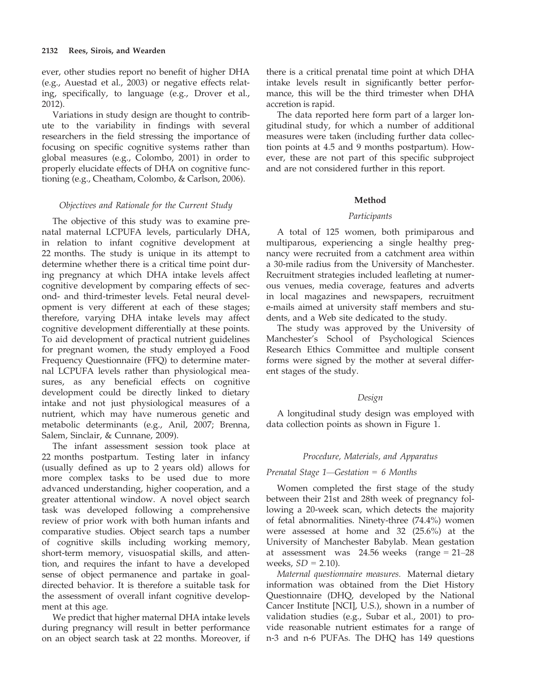ever, other studies report no benefit of higher DHA (e.g., Auestad et al., 2003) or negative effects relating, specifically, to language (e.g., Drover et al., 2012).

Variations in study design are thought to contribute to the variability in findings with several researchers in the field stressing the importance of focusing on specific cognitive systems rather than global measures (e.g., Colombo, 2001) in order to properly elucidate effects of DHA on cognitive functioning (e.g., Cheatham, Colombo, & Carlson, 2006).

# Objectives and Rationale for the Current Study

The objective of this study was to examine prenatal maternal LCPUFA levels, particularly DHA, in relation to infant cognitive development at 22 months. The study is unique in its attempt to determine whether there is a critical time point during pregnancy at which DHA intake levels affect cognitive development by comparing effects of second- and third-trimester levels. Fetal neural development is very different at each of these stages; therefore, varying DHA intake levels may affect cognitive development differentially at these points. To aid development of practical nutrient guidelines for pregnant women, the study employed a Food Frequency Questionnaire (FFQ) to determine maternal LCPUFA levels rather than physiological measures, as any beneficial effects on cognitive development could be directly linked to dietary intake and not just physiological measures of a nutrient, which may have numerous genetic and metabolic determinants (e.g., Anil, 2007; Brenna, Salem, Sinclair, & Cunnane, 2009).

The infant assessment session took place at 22 months postpartum. Testing later in infancy (usually defined as up to 2 years old) allows for more complex tasks to be used due to more advanced understanding, higher cooperation, and a greater attentional window. A novel object search task was developed following a comprehensive review of prior work with both human infants and comparative studies. Object search taps a number of cognitive skills including working memory, short-term memory, visuospatial skills, and attention, and requires the infant to have a developed sense of object permanence and partake in goaldirected behavior. It is therefore a suitable task for the assessment of overall infant cognitive development at this age.

We predict that higher maternal DHA intake levels during pregnancy will result in better performance on an object search task at 22 months. Moreover, if there is a critical prenatal time point at which DHA intake levels result in significantly better performance, this will be the third trimester when DHA accretion is rapid.

The data reported here form part of a larger longitudinal study, for which a number of additional measures were taken (including further data collection points at 4.5 and 9 months postpartum). However, these are not part of this specific subproject and are not considered further in this report.

# Method

# Participants

A total of 125 women, both primiparous and multiparous, experiencing a single healthy pregnancy were recruited from a catchment area within a 30-mile radius from the University of Manchester. Recruitment strategies included leafleting at numerous venues, media coverage, features and adverts in local magazines and newspapers, recruitment e-mails aimed at university staff members and students, and a Web site dedicated to the study.

The study was approved by the University of Manchester's School of Psychological Sciences Research Ethics Committee and multiple consent forms were signed by the mother at several different stages of the study.

# Design

A longitudinal study design was employed with data collection points as shown in Figure 1.

# Procedure, Materials, and Apparatus

# Prenatal Stage  $1$ —Gestation = 6 Months

Women completed the first stage of the study between their 21st and 28th week of pregnancy following a 20-week scan, which detects the majority of fetal abnormalities. Ninety-three (74.4%) women were assessed at home and 32 (25.6%) at the University of Manchester Babylab. Mean gestation at assessment was 24.56 weeks (range = 21–28 weeks,  $SD = 2.10$ ).

Maternal questionnaire measures. Maternal dietary information was obtained from the Diet History Questionnaire (DHQ, developed by the National Cancer Institute [NCI], U.S.), shown in a number of validation studies (e.g., Subar et al., 2001) to provide reasonable nutrient estimates for a range of n-3 and n-6 PUFAs. The DHQ has 149 questions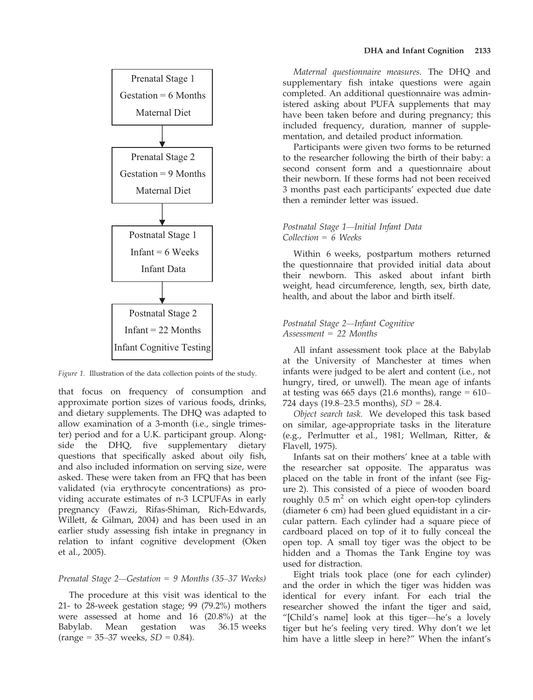

Postnatal Stage 2 Infant Cognitive Testing <u>Infant Data Barat Data Barat Data Barat Data Barat Data Barat Data Barat Data Barat Data Barat Data Barat Data </u>

Figure 1. Illustration of the data collection points of the study.

that focus on frequency of consumption and approximate portion sizes of various foods, drinks, and dietary supplements. The DHQ was adapted to allow examination of a 3-month (i.e., single trimester) period and for a U.K. participant group. Alongside the DHQ, five supplementary dietary questions that specifically asked about oily fish, and also included information on serving size, were asked. These were taken from an FFQ that has been validated (via erythrocyte concentrations) as providing accurate estimates of n-3 LCPUFAs in early pregnancy (Fawzi, Rifas-Shiman, Rich-Edwards, Willett, & Gilman, 2004) and has been used in an earlier study assessing fish intake in pregnancy in relation to infant cognitive development (Oken et al., 2005).

# Prenatal Stage 2—Gestation = 9 Months (35–37 Weeks)

The procedure at this visit was identical to the 21- to 28-week gestation stage; 99 (79.2%) mothers were assessed at home and 16 (20.8%) at the Babylab. Mean gestation was 36.15 weeks  $(range = 35-37 weeks, SD = 0.84).$ 

Maternal questionnaire measures. The DHQ and supplementary fish intake questions were again completed. An additional questionnaire was administered asking about PUFA supplements that may have been taken before and during pregnancy; this included frequency, duration, manner of supplementation, and detailed product information.

Participants were given two forms to be returned to the researcher following the birth of their baby: a second consent form and a questionnaire about their newborn. If these forms had not been received 3 months past each participants' expected due date then a reminder letter was issued.

# Postnatal Stage 1—Initial Infant Data Collection  $= 6$  Weeks

Within 6 weeks, postpartum mothers returned the questionnaire that provided initial data about their newborn. This asked about infant birth weight, head circumference, length, sex, birth date, health, and about the labor and birth itself.

# Postnatal Stage 2—Infant Cognitive  $Assessment = 22$  Months

All infant assessment took place at the Babylab at the University of Manchester at times when infants were judged to be alert and content (i.e., not hungry, tired, or unwell). The mean age of infants at testing was 665 days (21.6 months), range  $= 610-$ 724 days (19.8–23.5 months),  $SD = 28.4$ .

Object search task. We developed this task based on similar, age-appropriate tasks in the literature (e.g., Perlmutter et al., 1981; Wellman, Ritter, & Flavell, 1975).

Infants sat on their mothers' knee at a table with the researcher sat opposite. The apparatus was placed on the table in front of the infant (see Figure 2). This consisted of a piece of wooden board roughly  $0.5$  m<sup>2</sup> on which eight open-top cylinders (diameter 6 cm) had been glued equidistant in a circular pattern. Each cylinder had a square piece of cardboard placed on top of it to fully conceal the open top. A small toy tiger was the object to be hidden and a Thomas the Tank Engine toy was used for distraction.

Eight trials took place (one for each cylinder) and the order in which the tiger was hidden was identical for every infant. For each trial the researcher showed the infant the tiger and said, "[Child's name] look at this tiger—he's a lovely tiger but he's feeling very tired. Why don't we let him have a little sleep in here?" When the infant's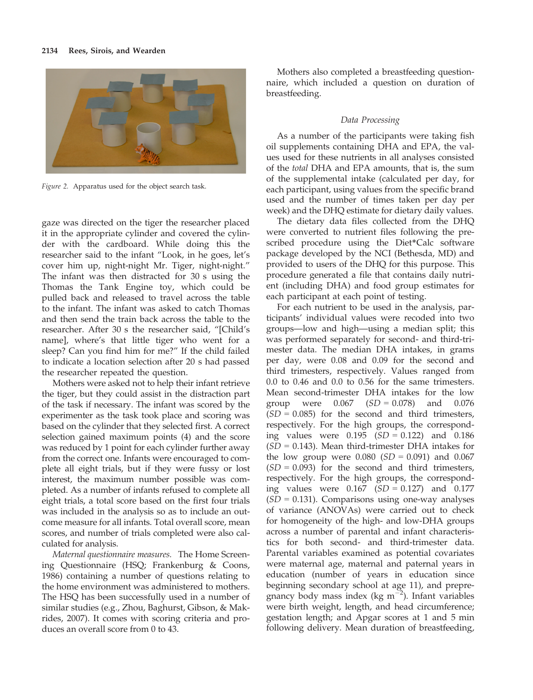

Figure 2. Apparatus used for the object search task.

gaze was directed on the tiger the researcher placed it in the appropriate cylinder and covered the cylinder with the cardboard. While doing this the researcher said to the infant "Look, in he goes, let's cover him up, night-night Mr. Tiger, night-night." The infant was then distracted for 30 s using the Thomas the Tank Engine toy, which could be pulled back and released to travel across the table to the infant. The infant was asked to catch Thomas and then send the train back across the table to the researcher. After 30 s the researcher said, "[Child's name], where's that little tiger who went for a sleep? Can you find him for me?" If the child failed to indicate a location selection after 20 s had passed the researcher repeated the question.

Mothers were asked not to help their infant retrieve the tiger, but they could assist in the distraction part of the task if necessary. The infant was scored by the experimenter as the task took place and scoring was based on the cylinder that they selected first. A correct selection gained maximum points (4) and the score was reduced by 1 point for each cylinder further away from the correct one. Infants were encouraged to complete all eight trials, but if they were fussy or lost interest, the maximum number possible was completed. As a number of infants refused to complete all eight trials, a total score based on the first four trials was included in the analysis so as to include an outcome measure for all infants. Total overall score, mean scores, and number of trials completed were also calculated for analysis.

Maternal questionnaire measures. The Home Screening Questionnaire (HSQ; Frankenburg & Coons, 1986) containing a number of questions relating to the home environment was administered to mothers. The HSQ has been successfully used in a number of similar studies (e.g., Zhou, Baghurst, Gibson, & Makrides, 2007). It comes with scoring criteria and produces an overall score from 0 to 43.

Mothers also completed a breastfeeding questionnaire, which included a question on duration of breastfeeding.

#### Data Processing

As a number of the participants were taking fish oil supplements containing DHA and EPA, the values used for these nutrients in all analyses consisted of the total DHA and EPA amounts, that is, the sum of the supplemental intake (calculated per day, for each participant, using values from the specific brand used and the number of times taken per day per week) and the DHQ estimate for dietary daily values.

The dietary data files collected from the DHQ were converted to nutrient files following the prescribed procedure using the Diet\*Calc software package developed by the NCI (Bethesda, MD) and provided to users of the DHQ for this purpose. This procedure generated a file that contains daily nutrient (including DHA) and food group estimates for each participant at each point of testing.

For each nutrient to be used in the analysis, participants' individual values were recoded into two groups—low and high—using a median split; this was performed separately for second- and third-trimester data. The median DHA intakes, in grams per day, were 0.08 and 0.09 for the second and third trimesters, respectively. Values ranged from 0.0 to 0.46 and 0.0 to 0.56 for the same trimesters. Mean second-trimester DHA intakes for the low group were  $0.067$   $(SD = 0.078)$  and  $0.076$  $(SD = 0.085)$  for the second and third trimesters, respectively. For the high groups, the corresponding values were  $0.195$  (*SD* = 0.122) and 0.186  $(SD = 0.143)$ . Mean third-trimester DHA intakes for the low group were  $0.080$  (*SD* = 0.091) and 0.067  $(SD = 0.093)$  for the second and third trimesters, respectively. For the high groups, the corresponding values were  $0.167$  (SD = 0.127) and 0.177  $(SD = 0.131)$ . Comparisons using one-way analyses of variance (ANOVAs) were carried out to check for homogeneity of the high- and low-DHA groups across a number of parental and infant characteristics for both second- and third-trimester data. Parental variables examined as potential covariates were maternal age, maternal and paternal years in education (number of years in education since beginning secondary school at age 11), and prepregnancy body mass index (kg  $m^{-2}$ ). Infant variables were birth weight, length, and head circumference; gestation length; and Apgar scores at 1 and 5 min following delivery. Mean duration of breastfeeding,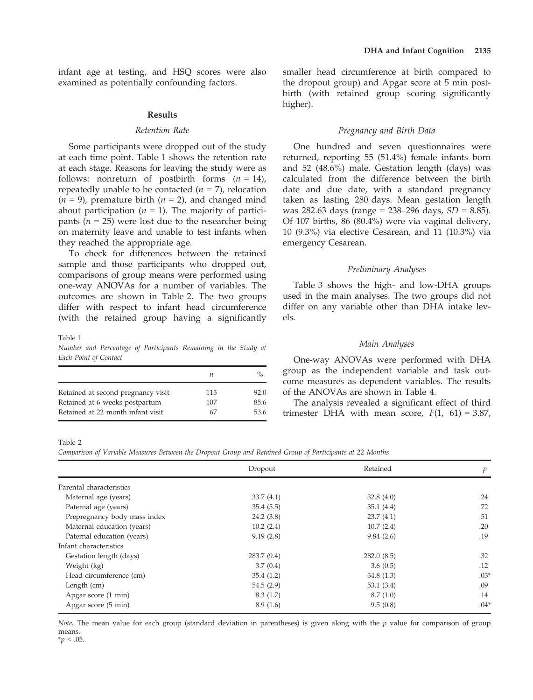infant age at testing, and HSQ scores were also examined as potentially confounding factors.

#### **Results**

## Retention Rate

Some participants were dropped out of the study at each time point. Table 1 shows the retention rate at each stage. Reasons for leaving the study were as follows: nonreturn of postbirth forms  $(n = 14)$ , repeatedly unable to be contacted  $(n = 7)$ , relocation  $(n = 9)$ , premature birth  $(n = 2)$ , and changed mind about participation ( $n = 1$ ). The majority of participants ( $n = 25$ ) were lost due to the researcher being on maternity leave and unable to test infants when they reached the appropriate age.

To check for differences between the retained sample and those participants who dropped out, comparisons of group means were performed using one-way ANOVAs for a number of variables. The outcomes are shown in Table 2. The two groups differ with respect to infant head circumference (with the retained group having a significantly

Table 1

Number and Percentage of Participants Remaining in the Study at Each Point of Contact

|                                                                      | п          | $\%$         |
|----------------------------------------------------------------------|------------|--------------|
| Retained at second pregnancy visit<br>Retained at 6 weeks postpartum | 115<br>107 | 92.0<br>85.6 |
| Retained at 22 month infant visit                                    | 67         | 53.6         |

smaller head circumference at birth compared to the dropout group) and Apgar score at 5 min postbirth (with retained group scoring significantly higher).

## Pregnancy and Birth Data

One hundred and seven questionnaires were returned, reporting 55 (51.4%) female infants born and 52 (48.6%) male. Gestation length (days) was calculated from the difference between the birth date and due date, with a standard pregnancy taken as lasting 280 days. Mean gestation length was 282.63 days (range =  $238-296$  days,  $SD = 8.85$ ). Of 107 births, 86 (80.4%) were via vaginal delivery, 10 (9.3%) via elective Cesarean, and 11 (10.3%) via emergency Cesarean.

### Preliminary Analyses

Table 3 shows the high- and low-DHA groups used in the main analyses. The two groups did not differ on any variable other than DHA intake levels.

#### Main Analyses

One-way ANOVAs were performed with DHA group as the independent variable and task outcome measures as dependent variables. The results of the ANOVAs are shown in Table 4.

The analysis revealed a significant effect of third trimester DHA with mean score,  $F(1, 61) = 3.87$ ,

Table 2

Comparison of Variable Measures Between the Dropout Group and Retained Group of Participants at 22 Months

|                              | Dropout     | Retained   | p      |
|------------------------------|-------------|------------|--------|
| Parental characteristics     |             |            |        |
| Maternal age (years)         | 33.7(4.1)   | 32.8(4.0)  | .24    |
| Paternal age (years)         | 35.4(5.5)   | 35.1(4.4)  | .72    |
| Prepregnancy body mass index | 24.2(3.8)   | 23.7(4.1)  | .51    |
| Maternal education (years)   | 10.2(2.4)   | 10.7(2.4)  | .20    |
| Paternal education (years)   | 9.19(2.8)   | 9.84(2.6)  | .19    |
| Infant characteristics       |             |            |        |
| Gestation length (days)      | 283.7 (9.4) | 282.0(8.5) | .32    |
| Weight (kg)                  | 3.7(0.4)    | 3.6(0.5)   | .12    |
| Head circumference (cm)      | 35.4(1.2)   | 34.8(1.3)  | $.03*$ |
| Length (cm)                  | 54.5(2.9)   | 53.1(3.4)  | .09    |
| Apgar score (1 min)          | 8.3(1.7)    | 8.7(1.0)   | .14    |
| Apgar score (5 min)          | 8.9(1.6)    | 9.5(0.8)   | $.04*$ |

Note. The mean value for each group (standard deviation in parentheses) is given along with the  $p$  value for comparison of group means.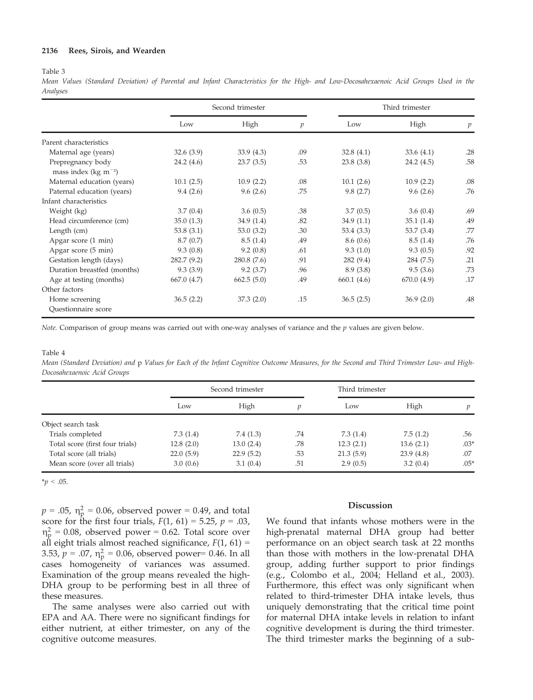#### 2136 Rees, Sirois, and Wearden

Table 3

Mean Values (Standard Deviation) of Parental and Infant Characteristics for the High- and Low-Docosahexaenoic Acid Groups Used in the Analyses

|                                                           |              | Second trimester |               | Third trimester |            |     |
|-----------------------------------------------------------|--------------|------------------|---------------|-----------------|------------|-----|
|                                                           | Low          | High             | $\mathcal{V}$ | Low             | High       | р   |
| Parent characteristics                                    |              |                  |               |                 |            |     |
| Maternal age (years)                                      | 32.6(3.9)    | 33.9(4.3)        | .09           | 32.8(4.1)       | 33.6(4.1)  | .28 |
| Prepregnancy body<br>mass index ( $kg \, \text{m}^{-2}$ ) | 24.2(4.6)    | 23.7(3.5)        | .53           | 23.8(3.8)       | 24.2(4.5)  | .58 |
| Maternal education (years)                                | 10.1(2.5)    | 10.9(2.2)        | .08           | 10.1(2.6)       | 10.9(2.2)  | .08 |
| Paternal education (years)                                | 9.4(2.6)     | 9.6(2.6)         | .75           | 9.8(2.7)        | 9.6(2.6)   | .76 |
| Infant characteristics                                    |              |                  |               |                 |            |     |
| Weight (kg)                                               | 3.7(0.4)     | 3.6(0.5)         | .38           | 3.7(0.5)        | 3.6(0.4)   | .69 |
| Head circumference (cm)                                   | 35.0(1.3)    | 34.9(1.4)        | .82           | 34.9(1.1)       | 35.1(1.4)  | .49 |
| Length (cm)                                               | 53.8 $(3.1)$ | 53.0(3.2)        | .30           | 53.4 (3.3)      | 53.7 (3.4) | .77 |
| Apgar score (1 min)                                       | 8.7(0.7)     | 8.5(1.4)         | .49           | 8.6(0.6)        | 8.5(1.4)   | .76 |
| Apgar score (5 min)                                       | 9.3(0.8)     | 9.2(0.8)         | .61           | 9.3(1.0)        | 9.3(0.5)   | .92 |
| Gestation length (days)                                   | 282.7 (9.2)  | 280.8(7.6)       | .91           | 282 (9.4)       | 284 (7.5)  | .21 |
| Duration breastfed (months)                               | 9.3(3.9)     | 9.2(3.7)         | .96           | 8.9(3.8)        | 9.5(3.6)   | .73 |
| Age at testing (months)                                   | 667.0 (4.7)  | 662.5(5.0)       | .49           | 660.1(4.6)      | 670.0(4.9) | .17 |
| Other factors                                             |              |                  |               |                 |            |     |
| Home screening<br>Questionnaire score                     | 36.5(2.2)    | 37.3(2.0)        | .15           | 36.5(2.5)       | 36.9(2.0)  | .48 |

Note. Comparison of group means was carried out with one-way analyses of variance and the  $p$  values are given below.

#### Table 4

Mean (Standard Deviation) and p Values for Each of the Infant Cognitive Outcome Measures, for the Second and Third Trimester Low- and High-Docosahexaenoic Acid Groups

|                                 |           | Second trimester |     | Third trimester |           |        |
|---------------------------------|-----------|------------------|-----|-----------------|-----------|--------|
|                                 | Low       | High             | р   | Low             | High      | p      |
| Object search task              |           |                  |     |                 |           |        |
| Trials completed                | 7.3(1.4)  | 7.4 (1.3)        | .74 | 7.3(1.4)        | 7.5(1.2)  | .56    |
| Total score (first four trials) | 12.8(2.0) | 13.0(2.4)        | .78 | 12.3(2.1)       | 13.6(2.1) | $.03*$ |
| Total score (all trials)        | 22.0(5.9) | 22.9(5.2)        | .53 | 21.3(5.9)       | 23.9(4.8) | .07    |
| Mean score (over all trials)    | 3.0(0.6)  | 3.1(0.4)         | .51 | 2.9(0.5)        | 3.2(0.4)  | $.05*$ |

 $*_{p}$  < .05.

 $p = .05$ ,  $\eta_p^2 = 0.06$ , observed power = 0.49, and total score for the first four trials  $F(1, 61) = 5.25$ ,  $n = .03$ score for the first four trials,  $F(1, 61) = 5.25$ ,  $p = .03$ ,  $\eta_{\rm p}^2$  = 0.08, observed power = 0.62. Total score over<br>all eight trials almost reached significance  $F(1, 61)$ all eight trials almost reached significance,  $F(1, 61) =$ 3.53,  $p = .07$ ,  $\eta_p^2 = 0.06$ , observed power= 0.46. In all<br>cases, homogeneity, of variances, was assumed cases homogeneity of variances was assumed. Examination of the group means revealed the high-DHA group to be performing best in all three of these measures.

The same analyses were also carried out with EPA and AA. There were no significant findings for either nutrient, at either trimester, on any of the cognitive outcome measures.

#### Discussion

We found that infants whose mothers were in the high-prenatal maternal DHA group had better performance on an object search task at 22 months than those with mothers in the low-prenatal DHA group, adding further support to prior findings (e.g., Colombo et al., 2004; Helland et al., 2003). Furthermore, this effect was only significant when related to third-trimester DHA intake levels, thus uniquely demonstrating that the critical time point for maternal DHA intake levels in relation to infant cognitive development is during the third trimester. The third trimester marks the beginning of a sub-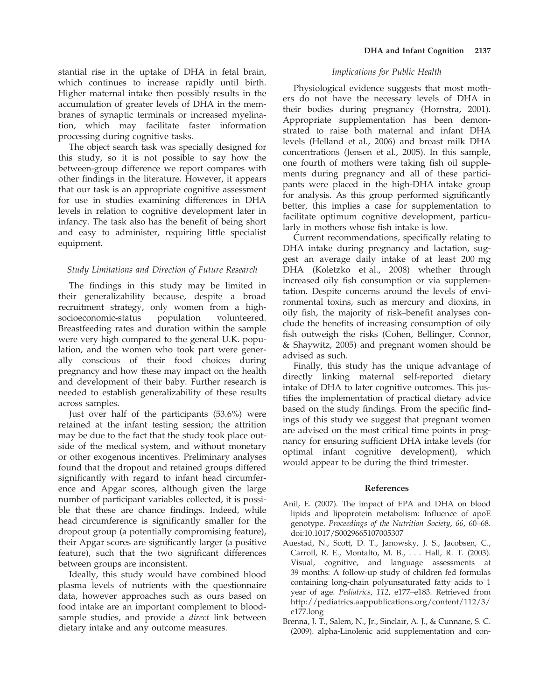stantial rise in the uptake of DHA in fetal brain, which continues to increase rapidly until birth. Higher maternal intake then possibly results in the accumulation of greater levels of DHA in the membranes of synaptic terminals or increased myelination, which may facilitate faster information processing during cognitive tasks.

The object search task was specially designed for this study, so it is not possible to say how the between-group difference we report compares with other findings in the literature. However, it appears that our task is an appropriate cognitive assessment for use in studies examining differences in DHA levels in relation to cognitive development later in infancy. The task also has the benefit of being short and easy to administer, requiring little specialist equipment.

# Study Limitations and Direction of Future Research

The findings in this study may be limited in their generalizability because, despite a broad recruitment strategy, only women from a highsocioeconomic-status population volunteered. Breastfeeding rates and duration within the sample were very high compared to the general U.K. population, and the women who took part were generally conscious of their food choices during pregnancy and how these may impact on the health and development of their baby. Further research is needed to establish generalizability of these results across samples.

Just over half of the participants (53.6%) were retained at the infant testing session; the attrition may be due to the fact that the study took place outside of the medical system, and without monetary or other exogenous incentives. Preliminary analyses found that the dropout and retained groups differed significantly with regard to infant head circumference and Apgar scores, although given the large number of participant variables collected, it is possible that these are chance findings. Indeed, while head circumference is significantly smaller for the dropout group (a potentially compromising feature), their Apgar scores are significantly larger (a positive feature), such that the two significant differences between groups are inconsistent.

Ideally, this study would have combined blood plasma levels of nutrients with the questionnaire data, however approaches such as ours based on food intake are an important complement to bloodsample studies, and provide a *direct* link between dietary intake and any outcome measures.

# Implications for Public Health

Physiological evidence suggests that most mothers do not have the necessary levels of DHA in their bodies during pregnancy (Hornstra, 2001). Appropriate supplementation has been demonstrated to raise both maternal and infant DHA levels (Helland et al., 2006) and breast milk DHA concentrations (Jensen et al., 2005). In this sample, one fourth of mothers were taking fish oil supplements during pregnancy and all of these participants were placed in the high-DHA intake group for analysis. As this group performed significantly better, this implies a case for supplementation to facilitate optimum cognitive development, particularly in mothers whose fish intake is low.

Current recommendations, specifically relating to DHA intake during pregnancy and lactation, suggest an average daily intake of at least 200 mg DHA (Koletzko et al., 2008) whether through increased oily fish consumption or via supplementation. Despite concerns around the levels of environmental toxins, such as mercury and dioxins, in oily fish, the majority of risk–benefit analyses conclude the benefits of increasing consumption of oily fish outweigh the risks (Cohen, Bellinger, Connor, & Shaywitz, 2005) and pregnant women should be advised as such.

Finally, this study has the unique advantage of directly linking maternal self-reported dietary intake of DHA to later cognitive outcomes. This justifies the implementation of practical dietary advice based on the study findings. From the specific findings of this study we suggest that pregnant women are advised on the most critical time points in pregnancy for ensuring sufficient DHA intake levels (for optimal infant cognitive development), which would appear to be during the third trimester.

#### References

- Anil, E. (2007). The impact of EPA and DHA on blood lipids and lipoprotein metabolism: Influence of apoE genotype. Proceedings of the Nutrition Society, 66, 60–68. doi:10.1017/S0029665107005307
- Auestad, N., Scott, D. T., Janowsky, J. S., Jacobsen, C., Carroll, R. E., Montalto, M. B., . . . Hall, R. T. (2003). Visual, cognitive, and language assessments at 39 months: A follow-up study of children fed formulas containing long-chain polyunsaturated fatty acids to 1 year of age. Pediatrics, 112, e177–e183. Retrieved from http://pediatrics.aappublications.org/content/112/3/ e177.long
- Brenna, J. T., Salem, N., Jr., Sinclair, A. J., & Cunnane, S. C. (2009). alpha-Linolenic acid supplementation and con-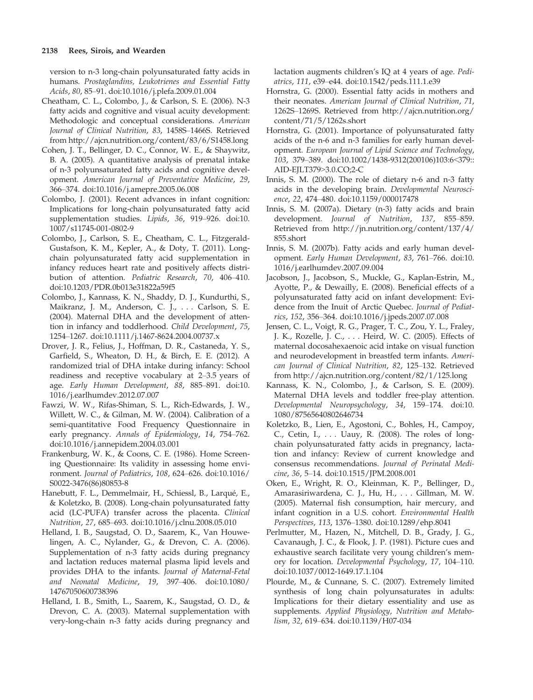version to n-3 long-chain polyunsaturated fatty acids in humans. Prostaglandins, Leukotrienes and Essential Fatty Acids, 80, 85–91. doi:10.1016/j.plefa.2009.01.004

- Cheatham, C. L., Colombo, J., & Carlson, S. E. (2006). N-3 fatty acids and cognitive and visual acuity development: Methodologic and conceptual considerations. American Journal of Clinical Nutrition, 83, 1458S–1466S. Retrieved from http://ajcn.nutrition.org/content/83/6/S1458.long
- Cohen, J. T., Bellinger, D. C., Connor, W. E., & Shaywitz, B. A. (2005). A quantitative analysis of prenatal intake of n-3 polyunsaturated fatty acids and cognitive development. American Journal of Preventative Medicine, 29, 366–374. doi:10.1016/j.amepre.2005.06.008
- Colombo, J. (2001). Recent advances in infant cognition: Implications for long-chain polyunsaturated fatty acid supplementation studies. Lipids, 36, 919–926. doi:10. 1007/s11745-001-0802-9
- Colombo, J., Carlson, S. E., Cheatham, C. L., Fitzgerald-Gustafson, K. M., Kepler, A., & Doty, T. (2011). Longchain polyunsaturated fatty acid supplementation in infancy reduces heart rate and positively affects distribution of attention. Pediatric Research, 70, 406–410. doi:10.1203/PDR.0b013e31822a59f5
- Colombo, J., Kannass, K. N., Shaddy, D. J., Kundurthi, S., Maikranz, J. M., Anderson, C. J., . . . Carlson, S. E. (2004). Maternal DHA and the development of attention in infancy and toddlerhood. Child Development, 75, 1254–1267. doi:10.1111/j.1467-8624.2004.00737.x
- Drover, J. R., Felius, J., Hoffman, D. R., Castaneda, Y. S., Garfield, S., Wheaton, D. H., & Birch, E. E. (2012). A randomized trial of DHA intake during infancy: School readiness and receptive vocabulary at 2–3.5 years of age. Early Human Development, 88, 885–891. doi:10. 1016/j.earlhumdev.2012.07.007
- Fawzi, W. W., Rifas-Shiman, S. L., Rich-Edwards, J. W., Willett, W. C., & Gilman, M. W. (2004). Calibration of a semi-quantitative Food Frequency Questionnaire in early pregnancy. Annals of Epidemiology, 14, 754–762. doi:10.1016/j.annepidem.2004.03.001
- Frankenburg, W. K., & Coons, C. E. (1986). Home Screening Questionnaire: Its validity in assessing home environment. Journal of Pediatrics, 108, 624–626. doi:10.1016/ S0022-3476(86)80853-8
- Hanebutt, F. L., Demmelmair, H., Schiessl, B., Larque, E., & Koletzko, B. (2008). Long-chain polyunsaturated fatty acid (LC-PUFA) transfer across the placenta. Clinical Nutrition, 27, 685–693. doi:10.1016/j.clnu.2008.05.010
- Helland, I. B., Saugstad, O. D., Saarem, K., Van Houwelingen, A. C., Nylander, G., & Drevon, C. A. (2006). Supplementation of n-3 fatty acids during pregnancy and lactation reduces maternal plasma lipid levels and provides DHA to the infants. Journal of Maternal-Fetal and Neonatal Medicine, 19, 397–406. doi:10.1080/ 14767050600738396
- Helland, I. B., Smith, L., Saarem, K., Saugstad, O. D., & Drevon, C. A. (2003). Maternal supplementation with very-long-chain n-3 fatty acids during pregnancy and

lactation augments children's IQ at 4 years of age. Pediatrics, 111, e39–e44. doi:10.1542/peds.111.1.e39

- Hornstra, G. (2000). Essential fatty acids in mothers and their neonates. American Journal of Clinical Nutrition, 71, 1262S–1269S. Retrieved from http://ajcn.nutrition.org/ content/71/5/1262s.short
- Hornstra, G. (2001). Importance of polyunsaturated fatty acids of the n-6 and n-3 families for early human development. European Journal of Lipid Science and Technology, 103, 379–389. doi:10.1002/1438-9312(200106)103:6<379:: AID-EJLT379>3.0.CO;2-C
- Innis, S. M. (2000). The role of dietary n-6 and n-3 fatty acids in the developing brain. Developmental Neuroscience, 22, 474–480. doi:10.1159/000017478
- Innis, S. M. (2007a). Dietary (n-3) fatty acids and brain development. Journal of Nutrition, 137, 855–859. Retrieved from http://jn.nutrition.org/content/137/4/ 855.short
- Innis, S. M. (2007b). Fatty acids and early human development. Early Human Development, 83, 761–766. doi:10. 1016/j.earlhumdev.2007.09.004
- Jacobson, J., Jacobson, S., Muckle, G., Kaplan-Estrin, M., Ayotte, P., & Dewailly, E. (2008). Beneficial effects of a polyunsaturated fatty acid on infant development: Evidence from the Inuit of Arctic Quebec. Journal of Pediatrics, 152, 356–364. doi:10.1016/j.jpeds.2007.07.008
- Jensen, C. L., Voigt, R. G., Prager, T. C., Zou, Y. L., Fraley, J. K., Rozelle, J. C., . . . Heird, W. C. (2005). Effects of maternal docosahexaenoic acid intake on visual function and neurodevelopment in breastfed term infants. American Journal of Clinical Nutrition, 82, 125–132. Retrieved from http://ajcn.nutrition.org/content/82/1/125.long
- Kannass, K. N., Colombo, J., & Carlson, S. E. (2009). Maternal DHA levels and toddler free-play attention. Developmental Neuropsychology, 34, 159–174. doi:10. 1080/87565640802646734
- Koletzko, B., Lien, E., Agostoni, C., Bohles, H., Campoy, C., Cetin, I., . . . Uauy, R. (2008). The roles of longchain polyunsaturated fatty acids in pregnancy, lactation and infancy: Review of current knowledge and consensus recommendations. Journal of Perinatal Medicine, 36, 5–14. doi:10.1515/JPM.2008.001
- Oken, E., Wright, R. O., Kleinman, K. P., Bellinger, D., Amarasiriwardena, C. J., Hu, H., . . . Gillman, M. W. (2005). Maternal fish consumption, hair mercury, and infant cognition in a U.S. cohort. Environmental Health Perspectives, 113, 1376–1380. doi:10.1289/ehp.8041
- Perlmutter, M., Hazen, N., Mitchell, D. B., Grady, J. G., Cavanaugh, J. C., & Flook, J. P. (1981). Picture cues and exhaustive search facilitate very young children's memory for location. Developmental Psychology, 17, 104–110. doi:10.1037/0012-1649.17.1.104
- Plourde, M., & Cunnane, S. C. (2007). Extremely limited synthesis of long chain polyunsaturates in adults: Implications for their dietary essentiality and use as supplements. Applied Physiology, Nutrition and Metabolism, 32, 619–634. doi:10.1139/H07-034